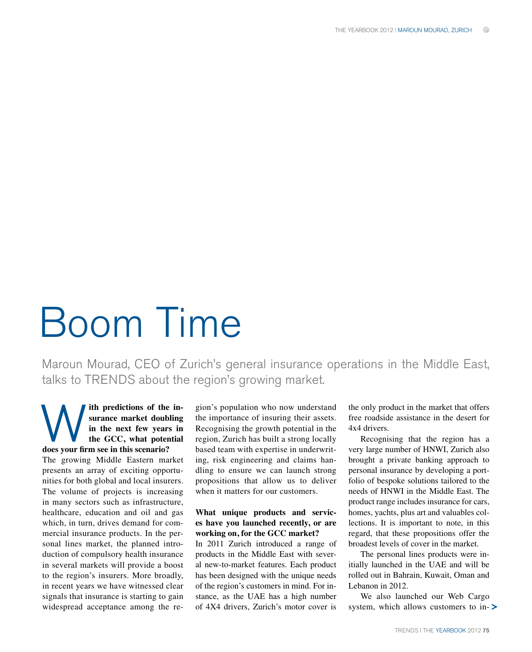# Boom Time

Maroun Mourad, CEO of Zurich's general insurance operations in the Middle East, talks to TRENDS about the region's growing market.

# **ith predictions of the insurance market doubling in the next few years in the GCC, what potential CONTROVIDY SUBSEX 15 THEORY OF SUBSEX 15 THEORY OF SUBSEX 15 THEORY OF SUBSEX 15 THEORY OF SUBSEX 15 THEORY OF SUBSEX 15 THEORY OF SUBSEX 15 THEORY OF SUBSEX 15 THEORY OF SUBSEX 15 THEORY OF SUBSEX 15 THEORY OF SUBSEX 15**

The growing Middle Eastern market presents an array of exciting opportunities for both global and local insurers. The volume of projects is increasing in many sectors such as infrastructure, healthcare, education and oil and gas which, in turn, drives demand for commercial insurance products. In the personal lines market, the planned introduction of compulsory health insurance in several markets will provide a boost to the region's insurers. More broadly, in recent years we have witnessed clear signals that insurance is starting to gain widespread acceptance among the region's population who now understand the importance of insuring their assets. Recognising the growth potential in the region, Zurich has built a strong locally based team with expertise in underwriting, risk engineering and claims handling to ensure we can launch strong propositions that allow us to deliver when it matters for our customers.

#### **What unique products and services have you launched recently, or are working on, for the GCC market?**

In 2011 Zurich introduced a range of products in the Middle East with several new-to-market features. Each product has been designed with the unique needs of the region's customers in mind. For instance, as the UAE has a high number of 4X4 drivers, Zurich's motor cover is

the only product in the market that offers free roadside assistance in the desert for 4x4 drivers.

Recognising that the region has a very large number of HNWI, Zurich also brought a private banking approach to personal insurance by developing a portfolio of bespoke solutions tailored to the needs of HNWI in the Middle East. The product range includes insurance for cars, homes, yachts, plus art and valuables collections. It is important to note, in this regard, that these propositions offer the broadest levels of cover in the market.

The personal lines products were initially launched in the UAE and will be rolled out in Bahrain, Kuwait, Oman and Lebanon in 2012.

We also launched our Web Cargo system, which allows customers to in- $\triangleright$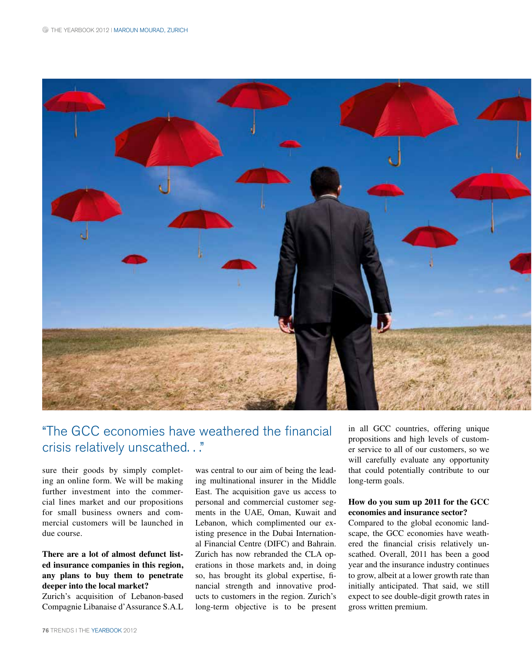

# "The GCC economies have weathered the financial crisis relatively unscathed. . ."

sure their goods by simply completing an online form. We will be making further investment into the commercial lines market and our propositions for small business owners and commercial customers will be launched in due course.

# **There are a lot of almost defunct listed insurance companies in this region, any plans to buy them to penetrate**  deeper into the local market?

Zurich's acquisition of Lebanon-based Compagnie Libanaise d'Assurance S.A.L was central to our aim of being the leading multinational insurer in the Middle East. The acquisition gave us access to personal and commercial customer segments in the UAE, Oman, Kuwait and Lebanon, which complimented our existing presence in the Dubai International Financial Centre (DIFC) and Bahrain. Zurich has now rebranded the CLA operations in those markets and, in doing so, has brought its global expertise, financial strength and innovative products to customers in the region. Zurich's long-term objective is to be present

in all GCC countries, offering unique propositions and high levels of customer service to all of our customers, so we will carefully evaluate any opportunity that could potentially contribute to our long-term goals.

#### **How do you sum up 2011 for the GCC**  economies and insurance sector?

Compared to the global economic landscape, the GCC economies have weathered the financial crisis relatively unscathed. Overall, 2011 has been a good year and the insurance industry continues to grow, albeit at a lower growth rate than initially anticipated. That said, we still expect to see double-digit growth rates in gross written premium.